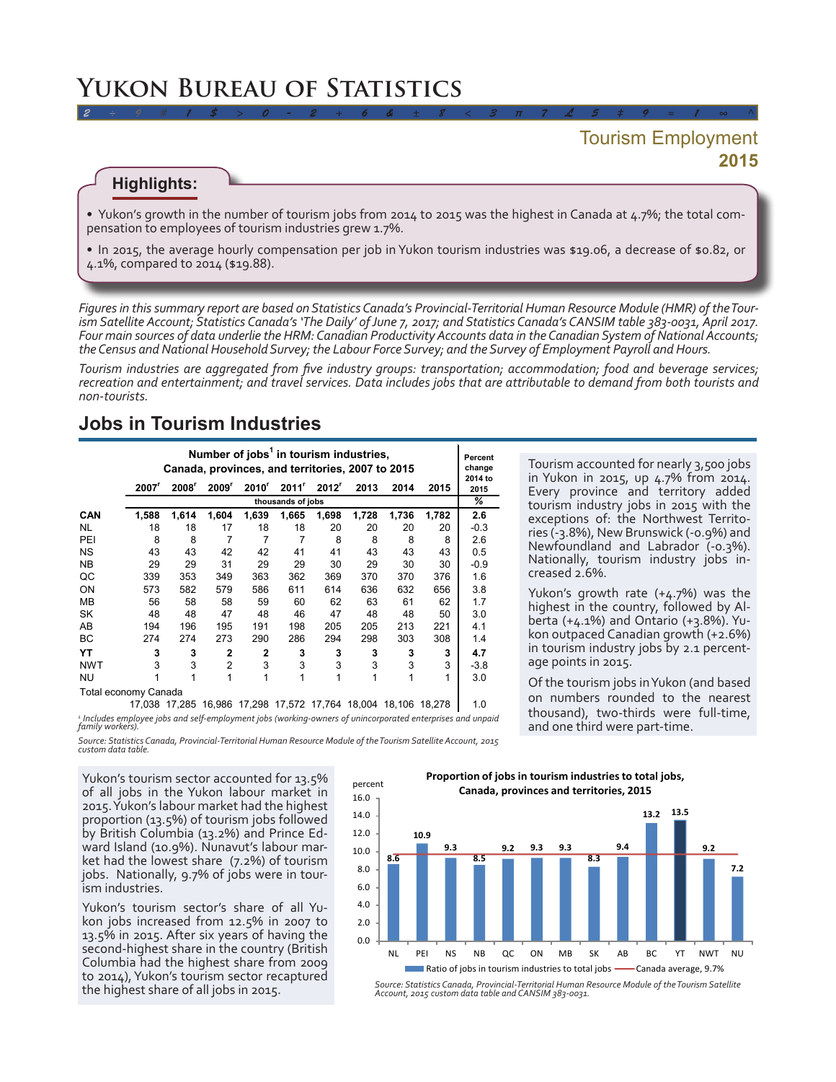# **Yukon Bureau of Statistics**

## **2015** Tourism Employment

#### **Highlights:**

• Yukon's growth in the number of tourism jobs from 2014 to 2015 was the highest in Canada at 4.7%; the total compensation to employees of tourism industries grew 1.7%.

*2 ÷ 9 # 1 \$ > 0 - 2 + 6 & ± 8 < 3 π 7 £ 5 ‡ 9 ≈ 1 ∞ ^*

• In 2015, the average hourly compensation per job in Yukon tourism industries was \$19.06, a decrease of \$0.82, or 4.1%, compared to 2014 (\$19.88).

*Figures in this summary report are based on Statistics Canada's Provincial-Territorial Human Resource Module (HMR) of the Tourism Satellite Account; Statistics Canada's 'The Daily' of June 7, 2017; and Statistics Canada's CANSIM table 383-0031, April 2017. Four main sources of data underlie the HRM: Canadian Productivity Accounts data in the Canadian System of National Accounts; the Census and National Household Survey; the Labour Force Survey; and the Survey of Employment Payroll and Hours.* 

*Tourism industries are aggregated from five industry groups: transportation; accommodation; food and beverage services; recreation and entertainment; and travel services. Data includes jobs that are attributable to demand from both tourists and non-tourists.*

### **Jobs in Tourism Industries**

|                          | Number of jobs <sup>1</sup> in tourism industries,<br>Canada, provinces, and territories, 2007 to 2015 |                   |                   |                |       |                   |       |       |       |                 |
|--------------------------|--------------------------------------------------------------------------------------------------------|-------------------|-------------------|----------------|-------|-------------------|-------|-------|-------|-----------------|
|                          | 2007 <sup>r</sup>                                                                                      | 2008 <sup>r</sup> | 2009 <sup>r</sup> | $2010^r$       | 2011' | 2012 <sup>r</sup> | 2013  | 2014  | 2015  | 2014 to<br>2015 |
|                          | thousands of jobs                                                                                      |                   |                   |                |       |                   |       |       |       |                 |
| <b>CAN</b>               | 1,588                                                                                                  | 1,614             | 1,604             | 1,639          | 1,665 | 1,698             | 1,728 | 1,736 | 1,782 | 2.6             |
| NL                       | 18                                                                                                     | 18                | 17                | 18             | 18    | 20                | 20    | 20    | 20    | $-0.3$          |
| PEI                      | 8                                                                                                      | 8                 | 7                 | 7              | 7     | 8                 | 8     | 8     | 8     | 2.6             |
| <b>NS</b>                | 43                                                                                                     | 43                | 42                | 42             | 41    | 41                | 43    | 43    | 43    | 0.5             |
| <b>NB</b>                | 29                                                                                                     | 29                | 31                | 29             | 29    | 30                | 29    | 30    | 30    | $-0.9$          |
| QC                       | 339                                                                                                    | 353               | 349               | 363            | 362   | 369               | 370   | 370   | 376   | 1.6             |
| ON                       | 573                                                                                                    | 582               | 579               | 586            | 611   | 614               | 636   | 632   | 656   | 3.8             |
| MВ                       | 56                                                                                                     | 58                | 58                | 59             | 60    | 62                | 63    | 61    | 62    | 1.7             |
| SK                       | 48                                                                                                     | 48                | 47                | 48             | 46    | 47                | 48    | 48    | 50    | 3.0             |
| AB                       | 194                                                                                                    | 196               | 195               | 191            | 198   | 205               | 205   | 213   | 221   | 4.1             |
| ВC                       | 274                                                                                                    | 274               | 273               | 290            | 286   | 294               | 298   | 303   | 308   | 1.4             |
| YΤ                       | 3                                                                                                      | 3                 | $\overline{2}$    | $\overline{2}$ | 3     | 3                 | 3     | 3     | 3     | 4.7             |
| <b>NWT</b>               | 3                                                                                                      | 3                 | $\overline{2}$    | 3              | 3     | 3                 | 3     | 3     | 3     | $-3.8$          |
| NU                       | 1                                                                                                      | 1                 | 1                 | 1              | 1     | 1                 | 1     |       | 1     | 3.0             |
| Total cooperation Conoda |                                                                                                        |                   |                   |                |       |                   |       |       |       |                 |

Tourism accounted for nearly 3,500 jobs in Yukon in 2015, up 4.7% from 2014. Every province and territory added tourism industry jobs in 2015 with the exceptions of: the Northwest Territories (-3.8%), New Brunswick (-0.9%) and Newfoundland and Labrador (-0.3%). Nationally, tourism industry jobs increased 2.6%.

Yukon's growth rate (+4.7%) was the highest in the country, followed by Alberta (+4.1%) and Ontario (+3.8%). Yukon outpaced Canadian growth (+2.6%) in tourism industry jobs by 2.1 percentage points in 2015.

Of the tourism jobs in Yukon (and based on numbers rounded to the nearest thousand), two-thirds were full-time, and one third were part-time.

Total economy Canada 17,038 17,285 16,986 17,298 17,572 17,764 18,004 18,106 18,278 | 1.0

*1*

 *Includes employee jobs and self-employment jobs (working-owners of unincorporated enterprises and unpaid family workers).* 

*Source: Statistics Canada, Provincial-Territorial Human Resource Module of the Tourism Satellite Account, 2015 custom data table.*

percent

Yukon's tourism sector accounted for 13.5% of all jobs in the Yukon labour market in 2015. Yukon's labour market had the highest proportion (13.5%) of tourism jobs followed by British Columbia (13.2%) and Prince Ed- ward Island (10.9%). Nunavut's labour mar- ket had the lowest share (7.2%) of tourism jobs. Nationally, 9.7% of jobs were in tour- ism industries.

Yukon's tourism sector's share of all Yu-<br>kon jobs increased from 12.5% in 2007 to 13.5% in 2015. After six years of having the second-highest share in the country (British Columbia had the highest share from 2009 to 2014), Yukon's tourism sector recaptured

**Proportion of jobs in tourism industries to total jobs, Canada, provinces and territories, 2015**



the highest share of all jobs in 2015. *Source: Statistics Canada, Provincial-Territorial Human Resource Module of the Tourism Satellite Account, 2015 custom data table and CANSIM 383-0031.*